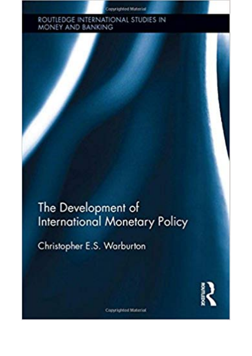**Copyrighted Material** 

## ROUTLEDGE INTERNATIONAL STUDIES IN<br>MONEY AND BANKING

The Development of **International Monetary Policy** 

Christopher E.S. Warburton



**Copyrighted Material**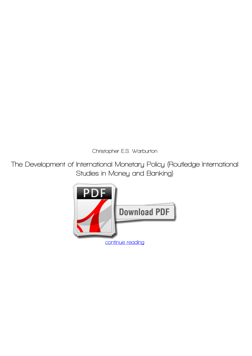*Christopher E.S. Warburton*

**The Development of International Monetary Policy (Routledge International Studies in Money and Banking)**

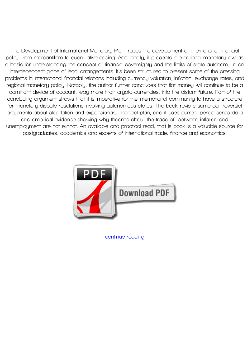**The Development of International Monetary Plan traces the development of international financial policy from mercantilism to quantitative easing. Additionally, it presents international monetary law as a basis for understanding the concept of financial sovereignty and the limits of state autonomy in an interdependent globe of legal arrangements. It's been structured to present some of the pressing problems in international financial relations including currency valuation, inflation, exchange rates, and regional monetary policy. Notably, the author further concludes that fiat money will continue to be a dominant device of account, way more than crypto-currencies, into the distant future. Part of the concluding argument shows that it is imperative for the international community to have a structure for monetary dispute resolutions involving autonomous states. The book revisits some controversial arguments about stagflation and expansionary financial plan, and it uses current period series data and empirical evidence showing why theories about the trade-off between inflation and unemployment are not extinct. An available and practical read, that is book is a valuable source for postgraduates, academics and experts of international trade, finance and economics.**



**[continue reading](http://bit.ly/2Tge8Fv)**